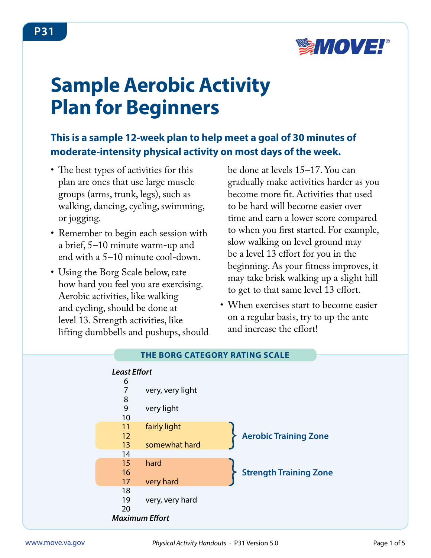

# **Sample Aerobic Activity Plan for Beginners**

## **This is a sample 12-week plan to help meet a goal of 30 minutes of moderate-intensity physical activity on most days of the week.**

- The best types of activities for this plan are ones that use large muscle groups (arms, trunk, legs), such as walking, dancing, cycling, swimming, or jogging.
- Remember to begin each session with a brief, 5–10 minute warm-up and end with a 5-10 minute cool-down.
- Using the Borg Scale below, rate how hard you feel you are exercising. Aerobic activities, like walking and cycling, should be done at level 13. Strength activities, like lifting dumbbells and pushups, should

be done at levels 15–17. You can gradually make activities harder as you become more fit. Activities that used to be hard will become easier over time and earn a lower score compared to when you first started. For example, slow walking on level ground may be a level 13 effort for you in the beginning. As your fitness improves, it may take brisk walking up a slight hill to get to that same level 13 effort.

• When exercises start to become easier on a regular basis, try to up the ante and increase the effort!



#### **THE BORG CATEGORY RATING SCALE**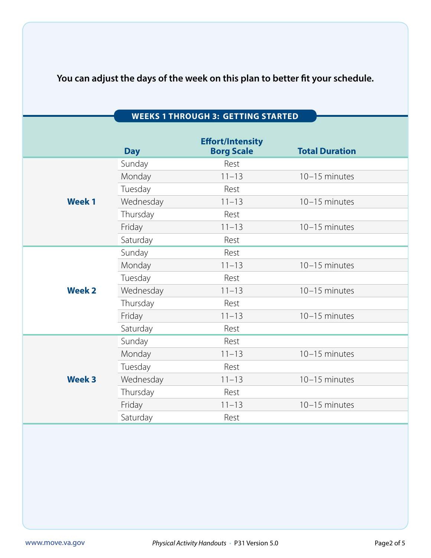## **You can adjust the days of the week on this plan to better fit your schedule.**

|               | <b>Day</b> | <b>Effort/Intensity</b><br><b>Borg Scale</b> | <b>Total Duration</b> |
|---------------|------------|----------------------------------------------|-----------------------|
| <b>Week1</b>  | Sunday     | Rest                                         |                       |
|               | Monday     | $11 - 13$                                    | 10-15 minutes         |
|               | Tuesday    | Rest                                         |                       |
|               | Wednesday  | $11 - 13$                                    | 10-15 minutes         |
|               | Thursday   | Rest                                         |                       |
|               | Friday     | $11 - 13$                                    | 10-15 minutes         |
|               | Saturday   | Rest                                         |                       |
| <b>Week 2</b> | Sunday     | Rest                                         |                       |
|               | Monday     | $11 - 13$                                    | 10-15 minutes         |
|               | Tuesday    | Rest                                         |                       |
|               | Wednesday  | $11 - 13$                                    | 10-15 minutes         |
|               | Thursday   | Rest                                         |                       |
|               | Friday     | $11 - 13$                                    | 10-15 minutes         |
|               | Saturday   | Rest                                         |                       |
| <b>Week 3</b> | Sunday     | Rest                                         |                       |
|               | Monday     | $11 - 13$                                    | 10-15 minutes         |
|               | Tuesday    | Rest                                         |                       |
|               | Wednesday  | $11 - 13$                                    | 10-15 minutes         |
|               | Thursday   | Rest                                         |                       |
|               | Friday     | $11 - 13$                                    | $10-15$ minutes       |
|               | Saturday   | Rest                                         |                       |

#### **WEEKS 1 THROUGH 3: GETTING STARTED**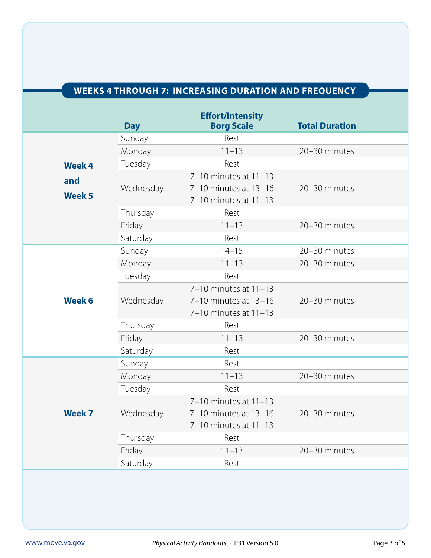## **WEEKS 4 THROUGH 7: INCREASING DURATION AND FREQUENCY**

|                      | <b>Day</b> | <b>Effort/Intensity</b><br><b>Borg Scale</b>                                    | <b>Total Duration</b> |
|----------------------|------------|---------------------------------------------------------------------------------|-----------------------|
|                      | Sunday     | Rest                                                                            |                       |
|                      | Monday     | $11 - 13$                                                                       | 20-30 minutes         |
| <b>Week 4</b>        | Tuesday    | Rest                                                                            |                       |
| and<br><b>Week 5</b> | Wednesday  | 7-10 minutes at 11-13<br>7-10 minutes at 13-16<br>7-10 minutes at 11-13         | 20-30 minutes         |
|                      | Thursday   | Rest                                                                            |                       |
|                      | Friday     | $11 - 13$                                                                       | 20-30 minutes         |
|                      | Saturday   | Rest                                                                            |                       |
|                      | Sunday     | $14 - 15$                                                                       | 20-30 minutes         |
|                      | Monday     | $11 - 13$                                                                       | 20-30 minutes         |
|                      | Tuesday    | Rest                                                                            |                       |
| Week 6               | Wednesday  | 7-10 minutes at 11-13<br>7-10 minutes at 13-16<br>7-10 minutes at 11-13         | 20-30 minutes         |
|                      | Thursday   | Rest                                                                            |                       |
|                      | Friday     | $11 - 13$                                                                       | 20-30 minutes         |
|                      | Saturday   | Rest                                                                            |                       |
|                      | Sunday     | Rest                                                                            |                       |
| <b>Week 7</b>        | Monday     | $11 - 13$                                                                       | 20-30 minutes         |
|                      | Tuesday    | Rest                                                                            |                       |
|                      | Wednesday  | $7-10$ minutes at $11-13$<br>7-10 minutes at 13-16<br>$7-10$ minutes at $11-13$ | 20-30 minutes         |
|                      | Thursday   | Rest                                                                            |                       |
|                      | Friday     | $11 - 13$                                                                       | 20-30 minutes         |
|                      | Saturday   | Rest                                                                            |                       |
|                      |            |                                                                                 |                       |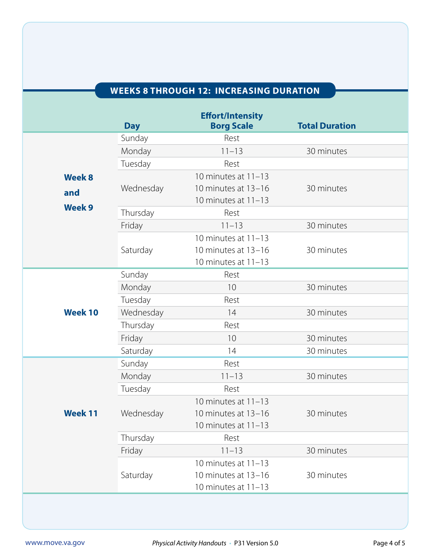## **WEEKS 8 THROUGH 12: INCREASING DURATION**

|                      | <b>Day</b> | <b>Effort/Intensity</b><br><b>Borg Scale</b>                          | <b>Total Duration</b> |
|----------------------|------------|-----------------------------------------------------------------------|-----------------------|
|                      | Sunday     | Rest                                                                  |                       |
|                      | Monday     | $11 - 13$                                                             | 30 minutes            |
|                      | Tuesday    | Rest                                                                  |                       |
| <b>Week 8</b><br>and | Wednesday  | 10 minutes at 11-13<br>10 minutes at 13-16<br>10 minutes at $11-13$   | 30 minutes            |
| <b>Week 9</b>        | Thursday   | Rest                                                                  |                       |
|                      | Friday     | $11 - 13$                                                             | 30 minutes            |
|                      | Saturday   | 10 minutes at $11-13$<br>10 minutes at 13-16<br>10 minutes at 11-13   | 30 minutes            |
|                      | Sunday     | Rest                                                                  |                       |
|                      | Monday     | 10                                                                    | 30 minutes            |
|                      | Tuesday    | Rest                                                                  |                       |
| <b>Week 10</b>       | Wednesday  | 14                                                                    | 30 minutes            |
|                      | Thursday   | Rest                                                                  |                       |
|                      | Friday     | 10                                                                    | 30 minutes            |
|                      | Saturday   | 14                                                                    | 30 minutes            |
|                      | Sunday     | Rest                                                                  |                       |
|                      | Monday     | $11 - 13$                                                             | 30 minutes            |
|                      | Tuesday    | Rest                                                                  |                       |
| <b>Week 11</b>       | Wednesday  | 10 minutes at 11-13<br>10 minutes at 13-16<br>10 minutes at 11-13     | 30 minutes            |
|                      | Thursday   | Rest                                                                  |                       |
|                      | Friday     | $11 - 13$                                                             | 30 minutes            |
|                      | Saturday   | 10 minutes at $11-13$<br>10 minutes at 13-16<br>10 minutes at $11-13$ | 30 minutes            |
|                      |            |                                                                       |                       |